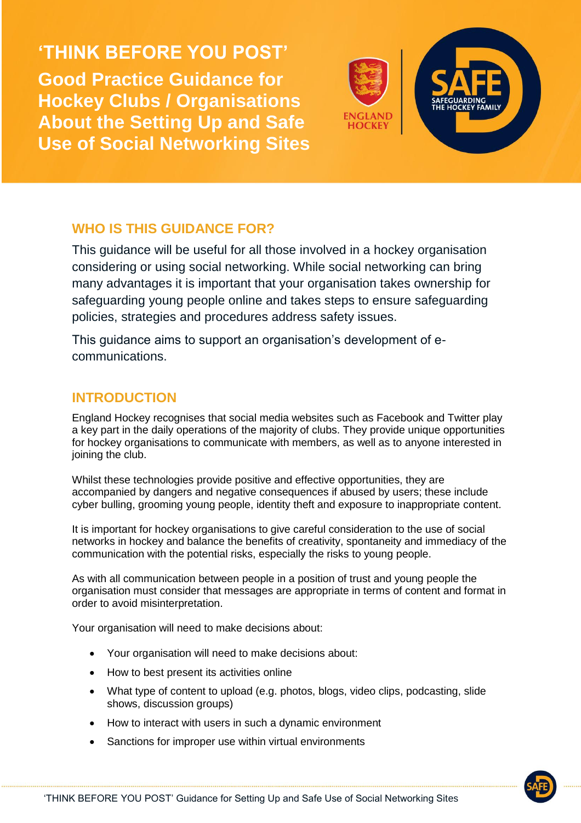**'THINK BEFORE YOU POST' Good Practice Guidance for Hockey Clubs / Organisations About the Setting Up and Safe Use of Social Networking Sites**



# **WHO IS THIS GUIDANCE FOR?**

This guidance will be useful for all those involved in a hockey organisation considering or using social networking. While social networking can bring many advantages it is important that your organisation takes ownership for safeguarding young people online and takes steps to ensure safeguarding policies, strategies and procedures address safety issues.

This guidance aims to support an organisation's development of ecommunications.

### **INTRODUCTION**

England Hockey recognises that social media websites such as Facebook and Twitter play a key part in the daily operations of the majority of clubs. They provide unique opportunities for hockey organisations to communicate with members, as well as to anyone interested in joining the club.

Whilst these technologies provide positive and effective opportunities, they are accompanied by dangers and negative consequences if abused by users; these include cyber bulling, grooming young people, identity theft and exposure to inappropriate content.

It is important for hockey organisations to give careful consideration to the use of social networks in hockey and balance the benefits of creativity, spontaneity and immediacy of the communication with the potential risks, especially the risks to young people.

As with all communication between people in a position of trust and young people the organisation must consider that messages are appropriate in terms of content and format in order to avoid misinterpretation.

Your organisation will need to make decisions about:

- Your organisation will need to make decisions about:
- How to best present its activities online
- What type of content to upload (e.g. photos, blogs, video clips, podcasting, slide shows, discussion groups)
- How to interact with users in such a dynamic environment
- Sanctions for improper use within virtual environments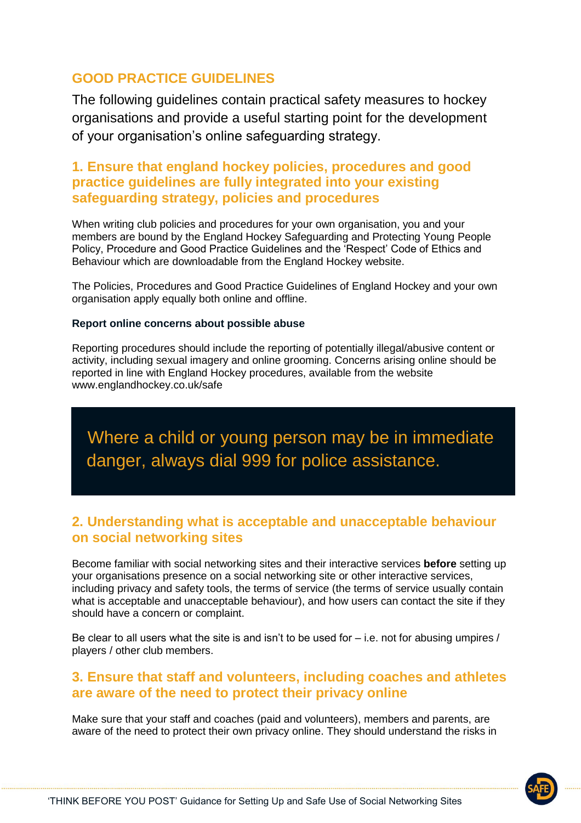# **GOOD PRACTICE GUIDELINES**

The following guidelines contain practical safety measures to hockey organisations and provide a useful starting point for the development of your organisation's online safeguarding strategy.

# **1. Ensure that england hockey policies, procedures and good practice guidelines are fully integrated into your existing safeguarding strategy, policies and procedures**

When writing club policies and procedures for your own organisation, you and your members are bound by the England Hockey Safeguarding and Protecting Young People Policy, Procedure and Good Practice Guidelines and the 'Respect' Code of Ethics and Behaviour which are downloadable from the England Hockey website.

The Policies, Procedures and Good Practice Guidelines of England Hockey and your own organisation apply equally both online and offline.

#### **Report online concerns about possible abuse**

Reporting procedures should include the reporting of potentially illegal/abusive content or activity, including sexual imagery and online grooming. Concerns arising online should be reported in line with England Hockey procedures, available from the website www.englandhockey.co.uk/safe

 Where a child or young person may be in immediate danger, always dial 999 for police assistance.

# **2. Understanding what is acceptable and unacceptable behaviour on social networking sites**

Become familiar with social networking sites and their interactive services **before** setting up your organisations presence on a social networking site or other interactive services, including privacy and safety tools, the terms of service (the terms of service usually contain what is acceptable and unacceptable behaviour), and how users can contact the site if they should have a concern or complaint.

Be clear to all users what the site is and isn't to be used for  $-$  i.e. not for abusing umpires / players / other club members.

### **3. Ensure that staff and volunteers, including coaches and athletes are aware of the need to protect their privacy online**

Make sure that your staff and coaches (paid and volunteers), members and parents, are aware of the need to protect their own privacy online. They should understand the risks in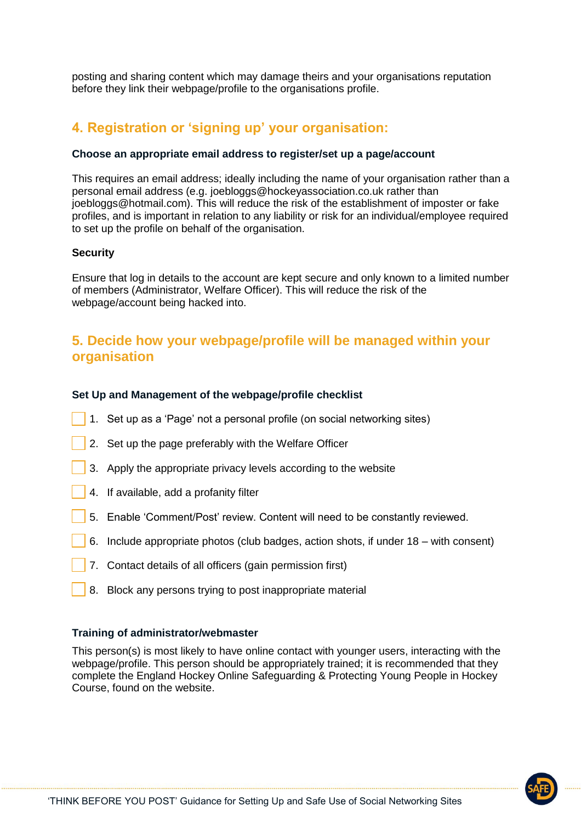posting and sharing content which may damage theirs and your organisations reputation before they link their webpage/profile to the organisations profile.

# **4. Registration or 'signing up' your organisation:**

#### **Choose an appropriate email address to register/set up a page/account**

This requires an email address; ideally including the name of your organisation rather than a personal email address (e.g. joebloggs@hockeyassociation.co.uk rather than joebloggs@hotmail.com). This will reduce the risk of the establishment of imposter or fake profiles, and is important in relation to any liability or risk for an individual/employee required to set up the profile on behalf of the organisation.

#### **Security**

Ensure that log in details to the account are kept secure and only known to a limited number of members (Administrator, Welfare Officer). This will reduce the risk of the webpage/account being hacked into.

# **5. Decide how your webpage/profile will be managed within your organisation**

#### **Set Up and Management of the webpage/profile checklist**

- 1. Set up as a 'Page' not a personal profile (on social networking sites)
- 2. Set up the page preferably with the Welfare Officer
- 3. Apply the appropriate privacy levels according to the website
- 4. If available, add a profanity filter
- 5. Enable 'Comment/Post' review. Content will need to be constantly reviewed.
- 6. Include appropriate photos (club badges, action shots, if under 18 with consent)
- 7. Contact details of all officers (gain permission first)
- 8. Block any persons trying to post inappropriate material

#### **Training of administrator/webmaster**

This person(s) is most likely to have online contact with younger users, interacting with the webpage/profile. This person should be appropriately trained; it is recommended that they complete the England Hockey Online Safeguarding & Protecting Young People in Hockey Course, found on the website.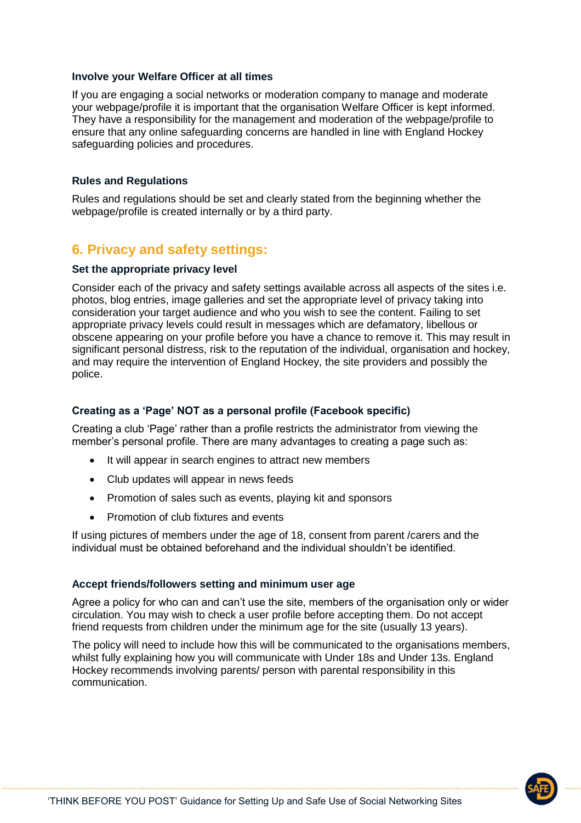#### **Involve your Welfare Officer at all times**

If you are engaging a social networks or moderation company to manage and moderate your webpage/profile it is important that the organisation Welfare Officer is kept informed. They have a responsibility for the management and moderation of the webpage/profile to ensure that any online safeguarding concerns are handled in line with England Hockey safeguarding policies and procedures.

#### **Rules and Regulations**

Rules and regulations should be set and clearly stated from the beginning whether the webpage/profile is created internally or by a third party.

### **6. Privacy and safety settings:**

#### **Set the appropriate privacy level**

Consider each of the privacy and safety settings available across all aspects of the sites i.e. photos, blog entries, image galleries and set the appropriate level of privacy taking into consideration your target audience and who you wish to see the content. Failing to set appropriate privacy levels could result in messages which are defamatory, libellous or obscene appearing on your profile before you have a chance to remove it. This may result in significant personal distress, risk to the reputation of the individual, organisation and hockey, and may require the intervention of England Hockey, the site providers and possibly the police.

#### **Creating as a 'Page' NOT as a personal profile (Facebook specific)**

Creating a club 'Page' rather than a profile restricts the administrator from viewing the member's personal profile. There are many advantages to creating a page such as:

- It will appear in search engines to attract new members
- Club updates will appear in news feeds
- Promotion of sales such as events, playing kit and sponsors
- Promotion of club fixtures and events

If using pictures of members under the age of 18, consent from parent /carers and the individual must be obtained beforehand and the individual shouldn't be identified.

#### **Accept friends/followers setting and minimum user age**

Agree a policy for who can and can't use the site, members of the organisation only or wider circulation. You may wish to check a user profile before accepting them. Do not accept friend requests from children under the minimum age for the site (usually 13 years).

The policy will need to include how this will be communicated to the organisations members, whilst fully explaining how you will communicate with Under 18s and Under 13s. England Hockey recommends involving parents/ person with parental responsibility in this communication.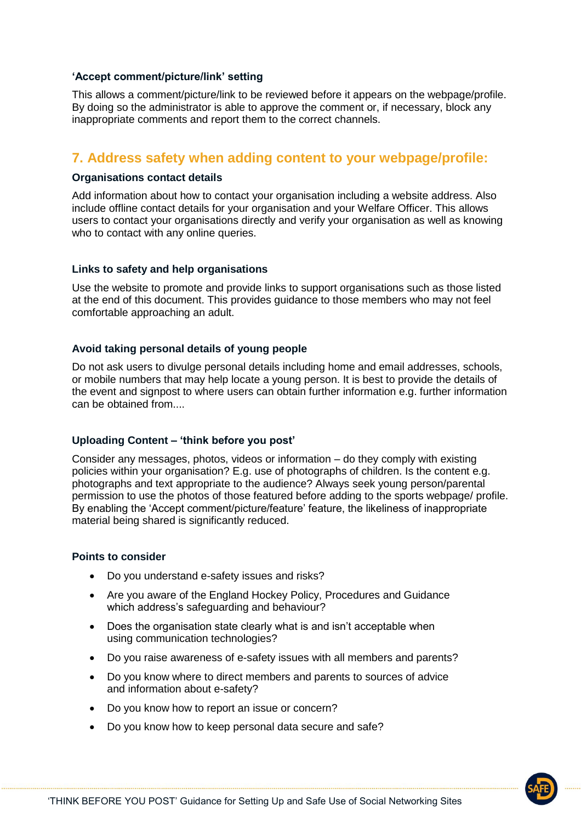#### **'Accept comment/picture/link' setting**

This allows a comment/picture/link to be reviewed before it appears on the webpage/profile. By doing so the administrator is able to approve the comment or, if necessary, block any inappropriate comments and report them to the correct channels.

## **7. Address safety when adding content to your webpage/profile:**

#### **Organisations contact details**

Add information about how to contact your organisation including a website address. Also include offline contact details for your organisation and your Welfare Officer. This allows users to contact your organisations directly and verify your organisation as well as knowing who to contact with any online queries.

#### **Links to safety and help organisations**

Use the website to promote and provide links to support organisations such as those listed at the end of this document. This provides guidance to those members who may not feel comfortable approaching an adult.

#### **Avoid taking personal details of young people**

Do not ask users to divulge personal details including home and email addresses, schools, or mobile numbers that may help locate a young person. It is best to provide the details of the event and signpost to where users can obtain further information e.g. further information can be obtained from....

#### **Uploading Content – 'think before you post'**

Consider any messages, photos, videos or information – do they comply with existing policies within your organisation? E.g. use of photographs of children. Is the content e.g. photographs and text appropriate to the audience? Always seek young person/parental permission to use the photos of those featured before adding to the sports webpage/ profile. By enabling the 'Accept comment/picture/feature' feature, the likeliness of inappropriate material being shared is significantly reduced.

#### **Points to consider**

- Do you understand e-safety issues and risks?
- Are you aware of the England Hockey Policy, Procedures and Guidance which address's safeguarding and behaviour?
- Does the organisation state clearly what is and isn't acceptable when using communication technologies?
- Do you raise awareness of e-safety issues with all members and parents?
- Do you know where to direct members and parents to sources of advice and information about e-safety?
- Do you know how to report an issue or concern?
- Do you know how to keep personal data secure and safe?